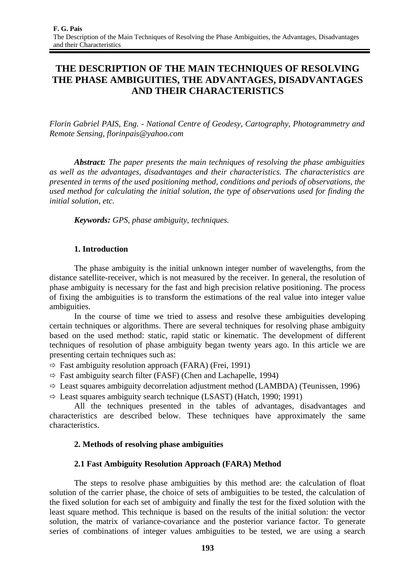# **THE DESCRIPTION OF THE MAIN TECHNIQUES OF RESOLVING THE PHASE AMBIGUITIES, THE ADVANTAGES, DISADVANTAGES AND THEIR CHARACTERISTICS**

*Florin Gabriel PAIS, Eng. - National Centre of Geodesy, Cartography, Photogrammetry and Remote Sensing, florinpais@yahoo.com* 

*Abstract: The paper presents the main techniques of resolving the phase ambiguities as well as the advantages, disadvantages and their characteristics. The characteristics are presented in terms of the used positioning method, conditions and periods of observations, the used method for calculating the initial solution, the type of observations used for finding the initial solution, etc.* 

*Keywords: GPS, phase ambiguity, techniques.*

## **1. Introduction**

The phase ambiguity is the initial unknown integer number of wavelengths, from the distance satellite-receiver, which is not measured by the receiver. In general, the resolution of phase ambiguity is necessary for the fast and high precision relative positioning. The process of fixing the ambiguities is to transform the estimations of the real value into integer value ambiguities.

In the course of time we tried to assess and resolve these ambiguities developing certain techniques or algorithms. There are several techniques for resolving phase ambiguity based on the used method: static, rapid static or kinematic. The development of different techniques of resolution of phase ambiguity began twenty years ago. In this article we are presenting certain techniques such as:

 $\Rightarrow$  Fast ambiguity resolution approach (FARA) (Frei, 1991)

 $\Rightarrow$  Fast ambiguity search filter (FASF) (Chen and Lachapelle, 1994)

 $\Rightarrow$  Least squares ambiguity decorrelation adjustment method (LAMBDA) (Teunissen, 1996)

 $\Rightarrow$  Least squares ambiguity search technique (LSAST) (Hatch, 1990; 1991)

All the techniques presented in the tables of advantages, disadvantages and characteristics are described below. These techniques have approximately the same characteristics.

## **2. Methods of resolving phase ambiguities**

## **2.1 Fast Ambiguity Resolution Approach (FARA) Method**

The steps to resolve phase ambiguities by this method are: the calculation of float solution of the carrier phase, the choice of sets of ambiguities to be tested, the calculation of the fixed solution for each set of ambiguity and finally the test for the fixed solution with the least square method. This technique is based on the results of the initial solution: the vector solution, the matrix of variance-covariance and the posterior variance factor. To generate series of combinations of integer values ambiguities to be tested, we are using a search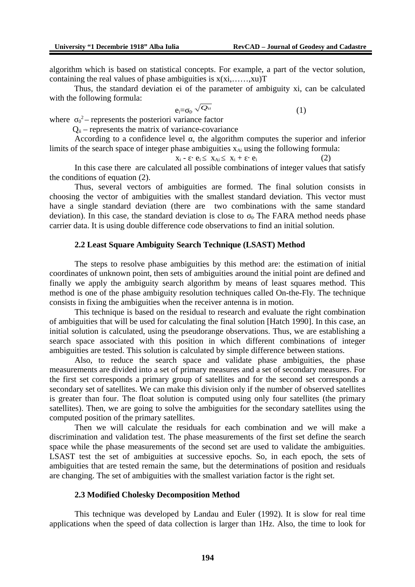algorithm which is based on statistical concepts. For example, a part of the vector solution, containing the real values of phase ambiguities is  $x(x_1,...,x_l)$ T

Thus, the standard deviation ei of the parameter of ambiguity xi, can be calculated with the following formula:

$$
e_i = \sigma_0 \sqrt{Q_{ii}} \tag{1}
$$

where  $\sigma_0^2$  – represents the posteriori variance factor

 $Q_{ii}$  – represents the matrix of variance-covariance

According to a confidence level  $\alpha$ , the algorithm computes the superior and inferior limits of the search space of integer phase ambiguities  $x_{Ai}$  using the following formula:

$$
x_i - \varepsilon \cdot e_i \leq x_{Ai} \leq x_i + \varepsilon \cdot e_i \tag{2}
$$

In this case there are calculated all possible combinations of integer values that satisfy the conditions of equation (2).

Thus, several vectors of ambiguities are formed. The final solution consists in choosing the vector of ambiguities with the smallest standard deviation. This vector must have a single standard deviation (there are two combinations with the same standard deviation). In this case, the standard deviation is close to  $\sigma_0$ . The FARA method needs phase carrier data. It is using double difference code observations to find an initial solution.

#### **2.2 Least Square Ambiguity Search Technique (LSAST) Method**

The steps to resolve phase ambiguities by this method are: the estimation of initial coordinates of unknown point, then sets of ambiguities around the initial point are defined and finally we apply the ambiguity search algorithm by means of least squares method. This method is one of the phase ambiguity resolution techniques called On-the-Fly. The technique consists in fixing the ambiguities when the receiver antenna is in motion.

This technique is based on the residual to research and evaluate the right combination of ambiguities that will be used for calculating the final solution [Hatch 1990]. In this case, an initial solution is calculated, using the pseudorange observations. Thus, we are establishing a search space associated with this position in which different combinations of integer ambiguities are tested. This solution is calculated by simple difference between stations.

Also, to reduce the search space and validate phase ambiguities, the phase measurements are divided into a set of primary measures and a set of secondary measures. For the first set corresponds a primary group of satellites and for the second set corresponds a secondary set of satellites. We can make this division only if the number of observed satellites is greater than four. The float solution is computed using only four satellites (the primary satellites). Then, we are going to solve the ambiguities for the secondary satellites using the computed position of the primary satellites.

Then we will calculate the residuals for each combination and we will make a discrimination and validation test. The phase measurements of the first set define the search space while the phase measurements of the second set are used to validate the ambiguities. LSAST test the set of ambiguities at successive epochs. So, in each epoch, the sets of ambiguities that are tested remain the same, but the determinations of position and residuals are changing. The set of ambiguities with the smallest variation factor is the right set.

#### **2.3 Modified Cholesky Decomposition Method**

This technique was developed by Landau and Euler (1992). It is slow for real time applications when the speed of data collection is larger than 1Hz. Also, the time to look for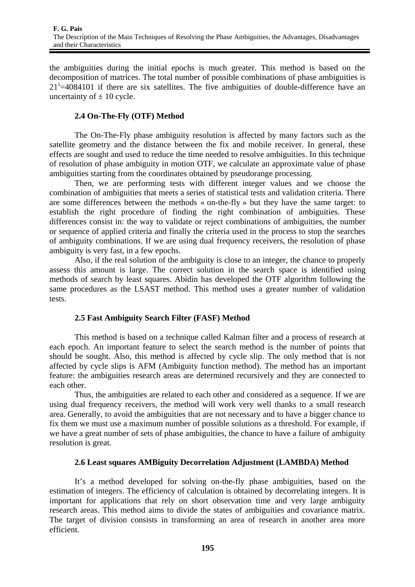the ambiguities during the initial epochs is much greater. This method is based on the decomposition of matrices. The total number of possible combinations of phase ambiguities is  $21<sup>5</sup>=4084101$  if there are six satellites. The five ambiguities of double-difference have an uncertainty of  $\pm$  10 cycle.

# **2.4 On-The-Fly (OTF) Method**

The On-The-Fly phase ambiguity resolution is affected by many factors such as the satellite geometry and the distance between the fix and mobile receiver. In general, these effects are sought and used to reduce the time needed to resolve ambiguities. In this technique of resolution of phase ambiguity in motion OTF, we calculate an approximate value of phase ambiguities starting from the coordinates obtained by pseudorange processing.

Then, we are performing tests with different integer values and we choose the combination of ambiguities that meets a series of statistical tests and validation criteria. There are some differences between the methods « on-the-fly » but they have the same target: to establish the right procedure of finding the right combination of ambiguities. These differences consist in: the way to validate or reject combinations of ambiguities, the number or sequence of applied criteria and finally the criteria used in the process to stop the searches of ambiguity combinations. If we are using dual frequency receivers, the resolution of phase ambiguity is very fast, in a few epochs.

Also, if the real solution of the ambiguity is close to an integer, the chance to properly assess this amount is large. The correct solution in the search space is identified using methods of search by least squares. Abidin has developed the OTF algorithm following the same procedures as the LSAST method. This method uses a greater number of validation tests.

# **2.5 Fast Ambiguity Search Filter (FASF) Method**

This method is based on a technique called Kalman filter and a process of research at each epoch. An important feature to select the search method is the number of points that should be sought. Also, this method is affected by cycle slip. The only method that is not affected by cycle slips is AFM (Ambiguity function method). The method has an important feature: the ambiguities research areas are determined recursively and they are connected to each other.

Thus, the ambiguities are related to each other and considered as a sequence. If we are using dual frequency receivers, the method will work very well thanks to a small research area. Generally, to avoid the ambiguities that are not necessary and to have a bigger chance to fix them we must use a maximum number of possible solutions as a threshold. For example, if we have a great number of sets of phase ambiguities, the chance to have a failure of ambiguity resolution is great.

# **2.6 Least squares AMBiguity Decorrelation Adjustment (LAMBDA) Method**

It's a method developed for solving on-the-fly phase ambiguities, based on the estimation of integers. The efficiency of calculation is obtained by decorrelating integers. It is important for applications that rely on short observation time and very large ambiguity research areas. This method aims to divide the states of ambiguities and covariance matrix. The target of division consists in transforming an area of research in another area more efficient.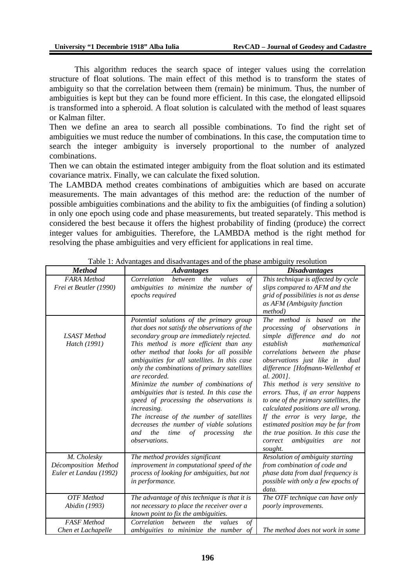This algorithm reduces the search space of integer values using the correlation structure of float solutions. The main effect of this method is to transform the states of ambiguity so that the correlation between them (remain) be minimum. Thus, the number of ambiguities is kept but they can be found more efficient. In this case, the elongated ellipsoid is transformed into a spheroid. A float solution is calculated with the method of least squares or Kalman filter.

Then we define an area to search all possible combinations. To find the right set of ambiguities we must reduce the number of combinations. In this case, the computation time to search the integer ambiguity is inversely proportional to the number of analyzed combinations.

Then we can obtain the estimated integer ambiguity from the float solution and its estimated covariance matrix. Finally, we can calculate the fixed solution.

The LAMBDA method creates combinations of ambiguities which are based on accurate measurements. The main advantages of this method are: the reduction of the number of possible ambiguities combinations and the ability to fix the ambiguities (of finding a solution) in only one epoch using code and phase measurements, but treated separately*.* This method is considered the best because it offers the highest probability of finding (produce) the correct integer values for ambiguities. Therefore, the LAMBDA method is the right method for resolving the phase ambiguities and very efficient for applications in real time.

| Method                                                        | rabic 1. Travanages and alsaavanages and or the phase amorgany resortation<br><b>Advantages</b>                                                                                                                                                                                                                                                                                                                                                                                                                                                                                                                                                         | <b>Disadvantages</b>                                                                                                                                                                                                                                                                                                                                                                                                                                                                                                                                                                |
|---------------------------------------------------------------|---------------------------------------------------------------------------------------------------------------------------------------------------------------------------------------------------------------------------------------------------------------------------------------------------------------------------------------------------------------------------------------------------------------------------------------------------------------------------------------------------------------------------------------------------------------------------------------------------------------------------------------------------------|-------------------------------------------------------------------------------------------------------------------------------------------------------------------------------------------------------------------------------------------------------------------------------------------------------------------------------------------------------------------------------------------------------------------------------------------------------------------------------------------------------------------------------------------------------------------------------------|
| <b>FARA</b> Method<br>Frei et Beutler (1990)                  | Correlation<br>the<br>values<br>of<br>between<br>ambiguities to minimize the number of<br>epochs required                                                                                                                                                                                                                                                                                                                                                                                                                                                                                                                                               | This technique is affected by cycle<br>slips compared to AFM and the<br>grid of possibilities is not as dense<br>as AFM (Ambiguity function<br>method)                                                                                                                                                                                                                                                                                                                                                                                                                              |
| <b>LSAST</b> Method<br>Hatch (1991)                           | Potential solutions of the primary group<br>that does not satisfy the observations of the<br>secondary group are immediately rejected.<br>This method is more efficient than any<br>other method that looks for all possible<br>ambiguities for all satellites. In this case<br>only the combinations of primary satellites<br>are recorded.<br>Minimize the number of combinations of<br>ambiguities that is tested. In this case the<br>speed of processing the observations is<br>increasing.<br>The increase of the number of satellites<br>decreases the number of viable solutions<br>the<br>time<br>of processing<br>the<br>and<br>observations. | The method is based on<br>the<br>processing of observations<br>in<br>simple difference and do not<br>establish<br>mathematical<br>correlations between the phase<br>observations just like in<br>dual<br>difference [Hofmann-Wellenhof et<br>al. 2001].<br>This method is very sensitive to<br>errors. Thus, if an error happens<br>to one of the primary satellites, the<br>calculated positions are all wrong.<br>If the error is very large, the<br>estimated position may be far from<br>the true position. In this case the<br>ambiguities<br>correct<br>are<br>not<br>sought. |
| M. Cholesky<br>Décomposition Method<br>Euler et Landau (1992) | The method provides significant<br>improvement in computational speed of the<br>process of looking for ambiguities, but not<br>in performance.                                                                                                                                                                                                                                                                                                                                                                                                                                                                                                          | Resolution of ambiguity starting<br>from combination of code and<br>phase data from dual frequency is<br>possible with only a few epochs of<br>data.                                                                                                                                                                                                                                                                                                                                                                                                                                |
| <b>OTF</b> Method<br>Abidin (1993)                            | The advantage of this technique is that it is<br>not necessary to place the receiver over a<br>known point to fix the ambiguities.                                                                                                                                                                                                                                                                                                                                                                                                                                                                                                                      | The OTF technique can have only<br>poorly improvements.                                                                                                                                                                                                                                                                                                                                                                                                                                                                                                                             |
| <b>FASF</b> Method<br>Chen et Lachapelle                      | Correlation<br>between<br>the<br>values<br>of<br>ambiguities to minimize the number of                                                                                                                                                                                                                                                                                                                                                                                                                                                                                                                                                                  | The method does not work in some                                                                                                                                                                                                                                                                                                                                                                                                                                                                                                                                                    |

Table 1: Advantages and disadvantages and of the phase ambiguity resolution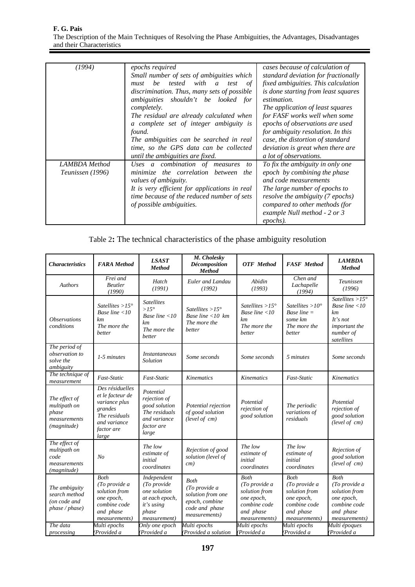| (1994)                            | epochs required<br>Small number of sets of ambiguities which<br>be tested with<br>of<br>must<br>a<br>test<br>discrimination. Thus, many sets of possible<br>ambiguities shouldn't be looked for<br>completely.<br>The residual are already calculated when<br>a complete set of integer ambiguity is<br>found.<br>The ambiguities can be searched in real<br>time, so the GPS data can be collected<br>until the ambiguities are fixed. | cases because of calculation of<br>standard deviation for fractionally<br>fixed ambiguities. This calculation<br>is done starting from least squares<br>estimation.<br>The application of least squares<br>for FASF works well when some<br>epochs of observations are used<br>for ambiguity resolution. In this<br>case, the distortion of standard<br>deviation is great when there are<br>a lot of observations. |
|-----------------------------------|-----------------------------------------------------------------------------------------------------------------------------------------------------------------------------------------------------------------------------------------------------------------------------------------------------------------------------------------------------------------------------------------------------------------------------------------|---------------------------------------------------------------------------------------------------------------------------------------------------------------------------------------------------------------------------------------------------------------------------------------------------------------------------------------------------------------------------------------------------------------------|
| LAMBDA Method<br>Teunissen (1996) | Uses a combination of measures<br>to<br>minimize the correlation between<br>the<br>values of ambiguity.<br>It is very efficient for applications in real<br>time because of the reduced number of sets<br>of possible ambiguities.                                                                                                                                                                                                      | To fix the ambiguity in only one<br>epoch by combining the phase<br>and code measurements<br>The large number of epochs to<br>resolve the ambiguity (7 epochs)<br>compared to other methods (for<br>example Null method - 2 or 3<br>epochs).                                                                                                                                                                        |

| Table 2: The technical characteristics of the phase ambiguity resolution |
|--------------------------------------------------------------------------|
|--------------------------------------------------------------------------|

| <b>Characteristics</b>                                                       | <b>FARA</b> Method                                                                                                        | <b>LSAST</b><br><b>Method</b>                                                                                         | M. Cholesky<br>Décomposition<br><b>Method</b>                                                                          | <b>OTF</b> Method                                                                                                  | <b>FASF</b> Method                                                                                                 | <b>LAMBDA</b><br><b>Method</b>                                                                                      |
|------------------------------------------------------------------------------|---------------------------------------------------------------------------------------------------------------------------|-----------------------------------------------------------------------------------------------------------------------|------------------------------------------------------------------------------------------------------------------------|--------------------------------------------------------------------------------------------------------------------|--------------------------------------------------------------------------------------------------------------------|---------------------------------------------------------------------------------------------------------------------|
| <b>Authors</b>                                                               | Frei and<br><b>Beutler</b><br>(1990)                                                                                      | Hatch<br>(1991)                                                                                                       | Euler and Landau<br>(1992)                                                                                             | Abidin<br>(1993)                                                                                                   | Chen and<br>Lachapelle<br>(1994)                                                                                   | Teunissen<br>(1996)                                                                                                 |
| <b>Observations</b><br>conditions                                            | Satellites $>15^\circ$<br>Base line $\leq 10$<br>km<br>The more the<br>better                                             | <b>Satellites</b><br>$>15^{\circ}$<br>Base line $\leq 10$<br>km<br>The more the<br>better                             | Satellites $>15^\circ$<br>Base line <10 km<br>The more the<br>better                                                   | Satellites $>15^\circ$<br>Base line $\leq 10$<br>km<br>The more the<br>better                                      | Satellites $>10^\circ$<br>Base line $=$<br>some km<br>The more the<br>better                                       | Satellites $>15^\circ$<br>Base line $\leq 10$<br>km<br>It's not<br>important the<br>number of<br>satellites         |
| The period of<br>observation to<br>solve the<br>ambiguity                    | 1-5 minutes                                                                                                               | <i>Instantaneous</i><br>Solution                                                                                      | Some seconds                                                                                                           | Some seconds                                                                                                       | 5 minutes                                                                                                          | Some seconds                                                                                                        |
| The technique of<br>measurement                                              | Fast-Static                                                                                                               | <b>Fast-Static</b>                                                                                                    | Kinematics                                                                                                             | Kinematics                                                                                                         | Fast-Static                                                                                                        | Kinematics                                                                                                          |
| The effect of<br>multipath on<br>phase<br>measurements<br>(magnitude)        | Des résiduelles<br>et le facteur de<br>variance plus<br>grandes<br>The residuals<br>and variance<br>factor are<br>large   | Potential<br>rejection of<br>good solution<br>The residuals<br>and variance<br>factor are<br>large                    | Potential rejection<br>of good solution<br>(level of cm)                                                               | Potential<br>rejection of<br>good solution                                                                         | The periodic<br>variations of<br>residuals                                                                         | Potential<br>rejection of<br>good solution<br>(level of cm)                                                         |
| The effect of<br>multipath on<br>code<br>measurements<br>(magnitude)         | No                                                                                                                        | The low<br>estimate of<br>initial<br>coordinates                                                                      | Rejection of good<br>solution (level of<br>cm)                                                                         | The low<br>estimate of<br>initial<br>coordinates                                                                   | The low<br>estimate of<br>initial<br>coordinates                                                                   | Rejection of<br>good solution<br>(level of cm)                                                                      |
| The ambiguity<br>search method<br>(on code and<br>phase / phase)<br>The data | <b>Both</b><br>(To provide a<br>solution from<br>one epoch,<br>combine code<br>and phase<br>measurements)<br>Multi epochs | Independent<br>(To provide<br>one solution<br>at each epoch,<br>it's using<br>phase<br>measurement)<br>Only one epoch | <b>Both</b><br>(To provide a<br>solution from one<br>epoch, combine<br>code and phase<br>measurements)<br>Multi epochs | Both<br>(To provide a<br>solution from<br>one epoch,<br>combine code<br>and phase<br>measurements)<br>Multi epochs | Both<br>(To provide a<br>solution from<br>one epoch,<br>combine code<br>and phase<br>measurements)<br>Multi epochs | Both<br>(To provide a<br>solution from<br>one epoch,<br>combine code<br>and phase<br>measurements)<br>Multi époques |
| processing                                                                   | (Provided a                                                                                                               | (Provided a                                                                                                           | (Provided a solution                                                                                                   | (Provided a                                                                                                        | (Provided a                                                                                                        | (Provided a                                                                                                         |